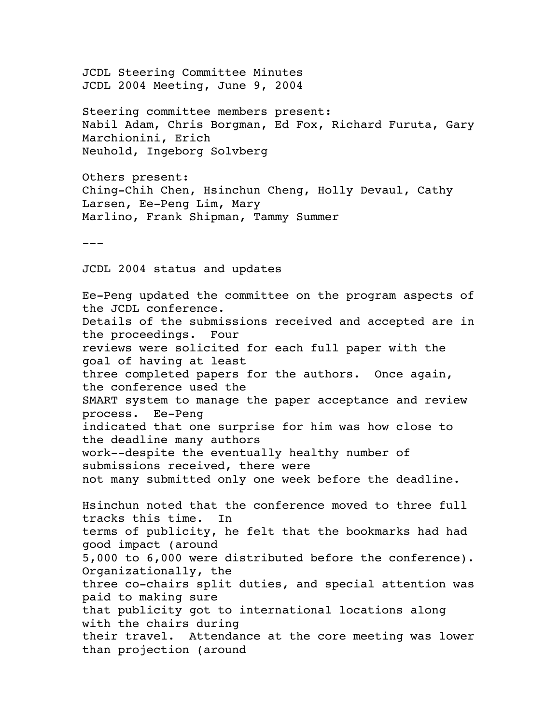JCDL Steering Committee Minutes JCDL 2004 Meeting, June 9, 2004

Steering committee members present: Nabil Adam, Chris Borgman, Ed Fox, Richard Furuta, Gary Marchionini, Erich Neuhold, Ingeborg Solvberg

Others present: Ching-Chih Chen, Hsinchun Cheng, Holly Devaul, Cathy Larsen, Ee-Peng Lim, Mary Marlino, Frank Shipman, Tammy Summer

 $- - -$ 

JCDL 2004 status and updates

Ee-Peng updated the committee on the program aspects of the JCDL conference. Details of the submissions received and accepted are in the proceedings. Four reviews were solicited for each full paper with the goal of having at least three completed papers for the authors. Once again, the conference used the SMART system to manage the paper acceptance and review process. Ee-Peng indicated that one surprise for him was how close to the deadline many authors work--despite the eventually healthy number of submissions received, there were not many submitted only one week before the deadline. Hsinchun noted that the conference moved to three full tracks this time. In terms of publicity, he felt that the bookmarks had had good impact (around 5,000 to 6,000 were distributed before the conference). Organizationally, the three co-chairs split duties, and special attention was paid to making sure that publicity got to international locations along with the chairs during their travel. Attendance at the core meeting was lower than projection (around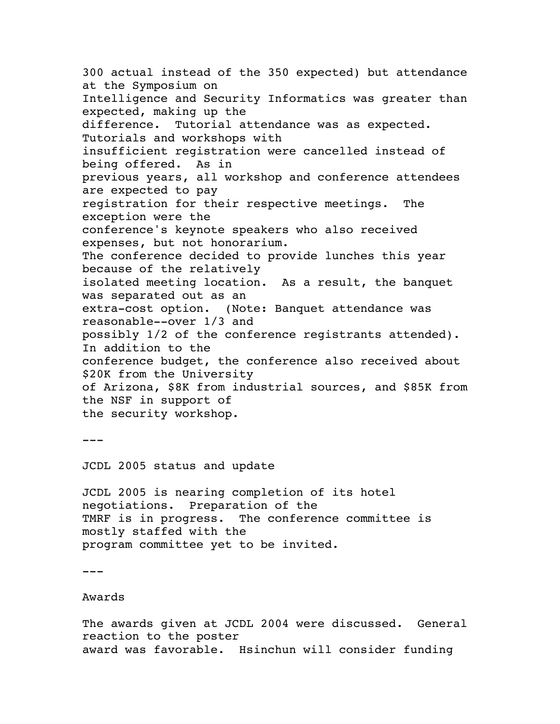300 actual instead of the 350 expected) but attendance at the Symposium on Intelligence and Security Informatics was greater than expected, making up the difference. Tutorial attendance was as expected. Tutorials and workshops with insufficient registration were cancelled instead of being offered. As in previous years, all workshop and conference attendees are expected to pay registration for their respective meetings. The exception were the conference's keynote speakers who also received expenses, but not honorarium. The conference decided to provide lunches this year because of the relatively isolated meeting location. As a result, the banquet was separated out as an extra-cost option. (Note: Banquet attendance was reasonable--over 1/3 and possibly 1/2 of the conference registrants attended). In addition to the conference budget, the conference also received about \$20K from the University of Arizona, \$8K from industrial sources, and \$85K from the NSF in support of the security workshop.

---

JCDL 2005 status and update

JCDL 2005 is nearing completion of its hotel negotiations. Preparation of the TMRF is in progress. The conference committee is mostly staffed with the program committee yet to be invited.

 $-$ 

Awards

The awards given at JCDL 2004 were discussed. General reaction to the poster award was favorable. Hsinchun will consider funding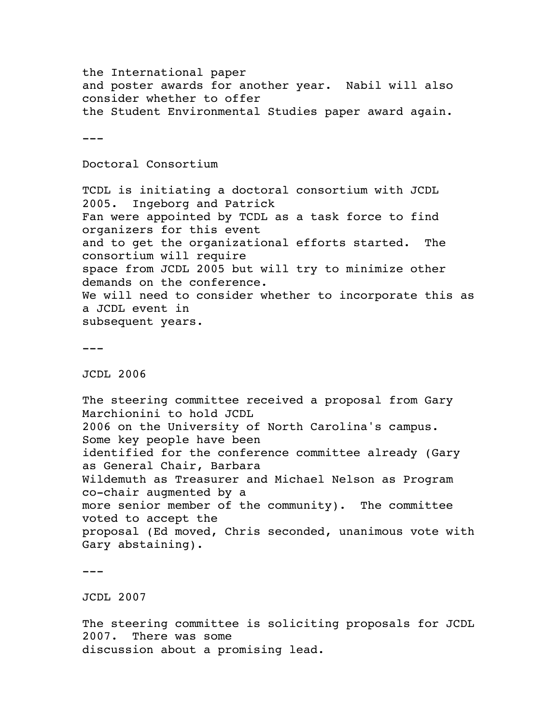the International paper and poster awards for another year. Nabil will also consider whether to offer the Student Environmental Studies paper award again.  $---$ Doctoral Consortium TCDL is initiating a doctoral consortium with JCDL 2005. Ingeborg and Patrick Fan were appointed by TCDL as a task force to find organizers for this event and to get the organizational efforts started. The consortium will require space from JCDL 2005 but will try to minimize other demands on the conference. We will need to consider whether to incorporate this as a JCDL event in subsequent years.  $---$ JCDL 2006

The steering committee received a proposal from Gary Marchionini to hold JCDL 2006 on the University of North Carolina's campus. Some key people have been identified for the conference committee already (Gary as General Chair, Barbara Wildemuth as Treasurer and Michael Nelson as Program co-chair augmented by a more senior member of the community). The committee voted to accept the proposal (Ed moved, Chris seconded, unanimous vote with Gary abstaining).

 $-$ 

JCDL 2007

The steering committee is soliciting proposals for JCDL 2007. There was some discussion about a promising lead.